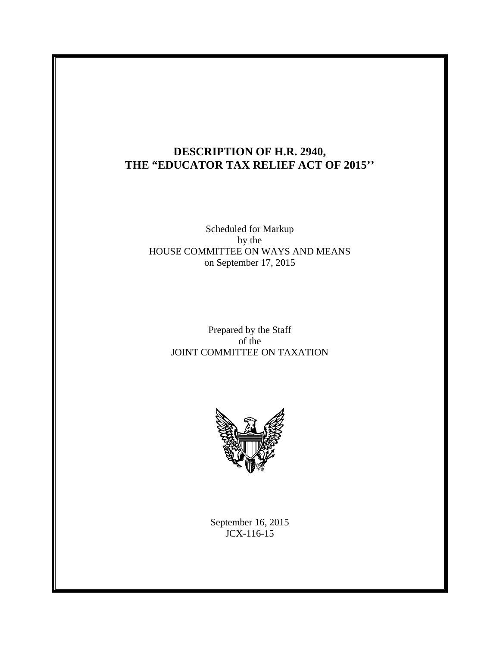# **DESCRIPTION OF H.R. 2940, THE "EDUCATOR TAX RELIEF ACT OF 2015''**

### Scheduled for Markup by the HOUSE COMMITTEE ON WAYS AND MEANS on September 17, 2015

### Prepared by the Staff of the JOINT COMMITTEE ON TAXATION



September 16, 2015 JCX-116-15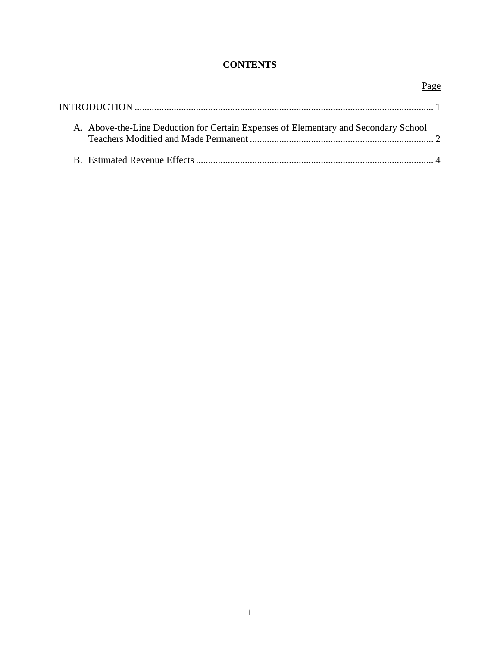## **CONTENTS**

| A. Above-the-Line Deduction for Certain Expenses of Elementary and Secondary School |  |
|-------------------------------------------------------------------------------------|--|
|                                                                                     |  |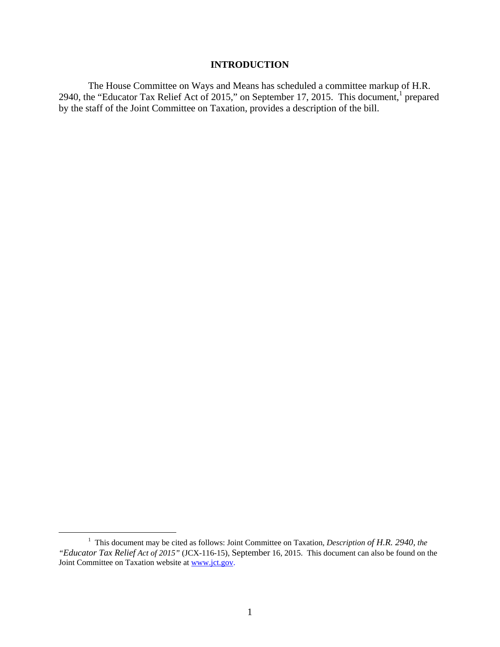### **INTRODUCTION**

The House Committee on Ways and Means has scheduled a committee markup of H.R. 2940, the "Educator Tax Relief Act of 2015," on September 17, 2015. This document, prepared by the staff of the Joint Committee on Taxation, provides a description of the bill.

<sup>&</sup>lt;u>1</u> <sup>1</sup> This document may be cited as follows: Joint Committee on Taxation, *Description of H.R. 2940, the "Educator Tax Relief Act of 2015"* (JCX-116-15), September 16, 2015. This document can also be found on the Joint Committee on Taxation website at www.jct.gov.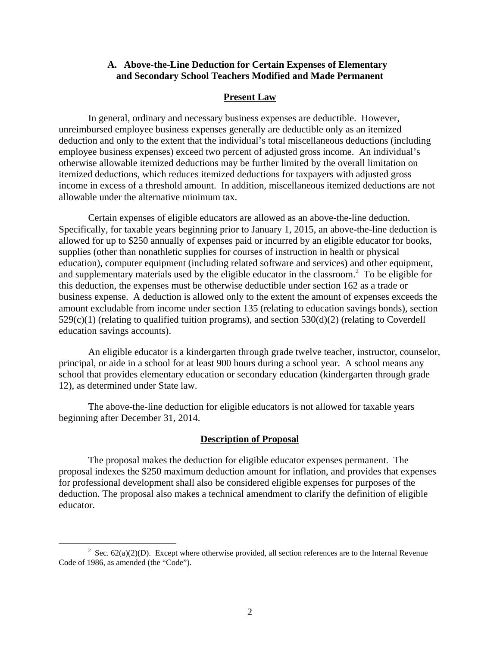### **A. Above-the-Line Deduction for Certain Expenses of Elementary and Secondary School Teachers Modified and Made Permanent**

#### **Present Law**

In general, ordinary and necessary business expenses are deductible. However, unreimbursed employee business expenses generally are deductible only as an itemized deduction and only to the extent that the individual's total miscellaneous deductions (including employee business expenses) exceed two percent of adjusted gross income. An individual's otherwise allowable itemized deductions may be further limited by the overall limitation on itemized deductions, which reduces itemized deductions for taxpayers with adjusted gross income in excess of a threshold amount. In addition, miscellaneous itemized deductions are not allowable under the alternative minimum tax.

Certain expenses of eligible educators are allowed as an above-the-line deduction. Specifically, for taxable years beginning prior to January 1, 2015, an above-the-line deduction is allowed for up to \$250 annually of expenses paid or incurred by an eligible educator for books, supplies (other than nonathletic supplies for courses of instruction in health or physical education), computer equipment (including related software and services) and other equipment, and supplementary materials used by the eligible educator in the classroom.<sup>2</sup> To be eligible for this deduction, the expenses must be otherwise deductible under section 162 as a trade or business expense. A deduction is allowed only to the extent the amount of expenses exceeds the amount excludable from income under section 135 (relating to education savings bonds), section 529(c)(1) (relating to qualified tuition programs), and section 530(d)(2) (relating to Coverdell education savings accounts).

An eligible educator is a kindergarten through grade twelve teacher, instructor, counselor, principal, or aide in a school for at least 900 hours during a school year. A school means any school that provides elementary education or secondary education (kindergarten through grade 12), as determined under State law.

The above-the-line deduction for eligible educators is not allowed for taxable years beginning after December 31, 2014.

#### **Description of Proposal**

The proposal makes the deduction for eligible educator expenses permanent. The proposal indexes the \$250 maximum deduction amount for inflation, and provides that expenses for professional development shall also be considered eligible expenses for purposes of the deduction. The proposal also makes a technical amendment to clarify the definition of eligible educator.

 $\frac{1}{2}$ <sup>2</sup> Sec.  $62(a)(2)(D)$ . Except where otherwise provided, all section references are to the Internal Revenue Code of 1986, as amended (the "Code").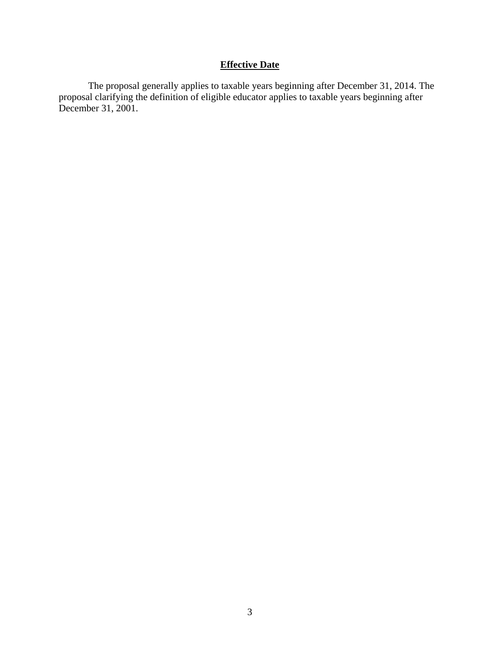## **Effective Date**

The proposal generally applies to taxable years beginning after December 31, 2014. The proposal clarifying the definition of eligible educator applies to taxable years beginning after December 31, 2001.